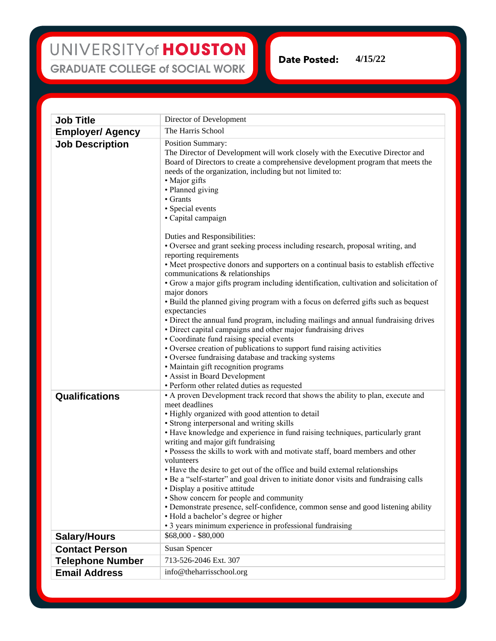## UNIVERSITY of HOUSTON **GRADUATE COLLEGE of SOCIAL WORK**

**Email Address** info@theharrisschool.org

Date Posted: **4/15/22**

**Job Title** Director of Development **Employer/ Agency** The Harris School **Job Description** | Position Summary: The Director of Development will work closely with the Executive Director and Board of Directors to create a comprehensive development program that meets the needs of the organization, including but not limited to: • Major gifts • Planned giving • Grants • Special events • Capital campaign Duties and Responsibilities: • Oversee and grant seeking process including research, proposal writing, and reporting requirements • Meet prospective donors and supporters on a continual basis to establish effective communications & relationships • Grow a major gifts program including identification, cultivation and solicitation of major donors • Build the planned giving program with a focus on deferred gifts such as bequest expectancies • Direct the annual fund program, including mailings and annual fundraising drives • Direct capital campaigns and other major fundraising drives • Coordinate fund raising special events • Oversee creation of publications to support fund raising activities • Oversee fundraising database and tracking systems • Maintain gift recognition programs • Assist in Board Development • Perform other related duties as requested **Qualifications** • A proven Development track record that shows the ability to plan, execute and meet deadlines • Highly organized with good attention to detail • Strong interpersonal and writing skills • Have knowledge and experience in fund raising techniques, particularly grant writing and major gift fundraising • Possess the skills to work with and motivate staff, board members and other volunteers • Have the desire to get out of the office and build external relationships • Be a "self-starter" and goal driven to initiate donor visits and fundraising calls • Display a positive attitude • Show concern for people and community • Demonstrate presence, self-confidence, common sense and good listening ability • Hold a bachelor's degree or higher • 3 years minimum experience in professional fundraising **Salary/Hours** \$68,000 - \$80,000 **Contact Person** Susan Spencer **Telephone Number** 713-526-2046 Ext. 307